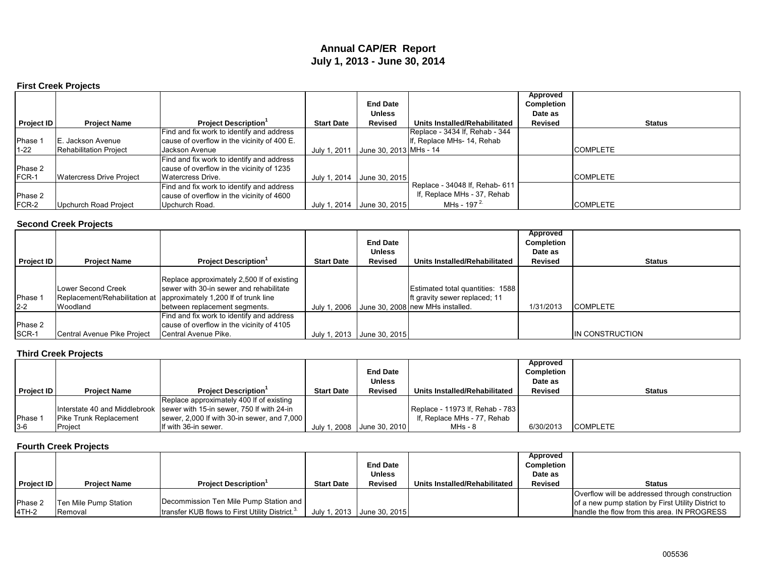# **Annual CAP/ER Report July 1, 2013 - June 30, 2014**

### **First Creek Projects**

|            |                                 |                                             |                   |                        |                                | Approved          |                 |
|------------|---------------------------------|---------------------------------------------|-------------------|------------------------|--------------------------------|-------------------|-----------------|
|            |                                 |                                             |                   | <b>End Date</b>        |                                | <b>Completion</b> |                 |
|            |                                 |                                             |                   | <b>Unless</b>          |                                | Date as           |                 |
| Project ID | <b>Project Name</b>             | <b>Project Description'</b>                 | <b>Start Date</b> | Revised                | Units Installed/Rehabilitated  | Revised           | <b>Status</b>   |
|            |                                 | Find and fix work to identify and address   |                   |                        | Replace - 3434 If, Rehab - 344 |                   |                 |
| Phase 1    | E. Jackson Avenue               | cause of overflow in the vicinity of 400 E. |                   |                        | . Replace MHs- 14, Rehab       |                   |                 |
| $1 - 22$   | <b>Rehabilitation Project</b>   | Jackson Avenue                              | July 1, 2011      | June 30, 2013 MHs - 14 |                                |                   | <b>COMPLETE</b> |
|            |                                 | Find and fix work to identify and address   |                   |                        |                                |                   |                 |
| Phase 2    |                                 | cause of overflow in the vicinity of 1235   |                   |                        |                                |                   |                 |
| FCR-1      | <b>Watercress Drive Project</b> | Watercress Drive.                           | July 1, 2014      | June 30, 2015          |                                |                   | <b>COMPLETE</b> |
|            |                                 | Find and fix work to identify and address   |                   |                        | Replace - 34048 If, Rehab- 611 |                   |                 |
| Phase 2    |                                 | cause of overflow in the vicinity of 4600   |                   |                        | If, Replace MHs - 37, Rehab    |                   |                 |
| FCR-2      | Upchurch Road Project           | Upchurch Road.                              | July 1, 2014      | June 30, 2015          | MHs - 197 $2$                  |                   | <b>COMPLETE</b> |

## **Second Creek Projects**

|                   |                             |                                                                      |                   |                            |                                               | Approved   |                  |
|-------------------|-----------------------------|----------------------------------------------------------------------|-------------------|----------------------------|-----------------------------------------------|------------|------------------|
|                   |                             |                                                                      |                   | <b>End Date</b>            |                                               | Completion |                  |
|                   |                             |                                                                      |                   | <b>Unless</b>              |                                               | Date as    |                  |
| <b>Project ID</b> | <b>Project Name</b>         | <b>Project Description</b>                                           | <b>Start Date</b> | <b>Revised</b>             | Units Installed/Rehabilitated                 | Revised    | <b>Status</b>    |
|                   |                             |                                                                      |                   |                            |                                               |            |                  |
|                   |                             | Replace approximately 2,500 If of existing                           |                   |                            |                                               |            |                  |
|                   | Lower Second Creek          | sewer with 30-in sewer and rehabilitate                              |                   |                            | Estimated total quantities: 1588              |            |                  |
| Phase 1           |                             | Replacement/Rehabilitation at   approximately 1,200 If of trunk line |                   |                            | Ift gravity sewer replaced; 11                |            |                  |
| $2 - 2$           | Woodland                    | between replacement segments.                                        |                   |                            | July 1, 2006 June 30, 2008 new MHs installed. | 1/31/2013  | <b>COMPLETE</b>  |
|                   |                             | Find and fix work to identify and address                            |                   |                            |                                               |            |                  |
| Phase 2           |                             | cause of overflow in the vicinity of 4105                            |                   |                            |                                               |            |                  |
| SCR-1             | Central Avenue Pike Project | Central Avenue Pike.                                                 |                   | July 1, 2013 June 30, 2015 |                                               |            | IIN CONSTRUCTION |

## **Third Creek Projects**

|                   |                        |                                                                         |                   |                            |                                 | Approved          |                 |
|-------------------|------------------------|-------------------------------------------------------------------------|-------------------|----------------------------|---------------------------------|-------------------|-----------------|
|                   |                        |                                                                         |                   | <b>End Date</b>            |                                 | <b>Completion</b> |                 |
|                   |                        |                                                                         |                   | <b>Unless</b>              |                                 | Date as           |                 |
| <b>Project ID</b> | <b>Project Name</b>    | <b>Project Description</b>                                              | <b>Start Date</b> | <b>Revised</b>             | Units Installed/Rehabilitated   | <b>Revised</b>    | <b>Status</b>   |
|                   |                        | Replace approximately 400 If of existing                                |                   |                            |                                 |                   |                 |
|                   |                        | Interstate 40 and Middlebrook Sewer with 15-in sewer, 750 If with 24-in |                   |                            | Replace - 11973 If, Rehab - 783 |                   |                 |
| Phase 1           | Pike Trunk Replacement | sewer, 2,000 If with 30-in sewer, and 7,000                             |                   |                            | If, Replace MHs - 77, Rehab     |                   |                 |
| $3-6$             | Project                | If with 36-in sewer.                                                    |                   | July 1, 2008 June 30, 2010 | MHs - 8                         | 6/30/2013         | <b>COMPLETE</b> |

## **Fourth Creek Projects**

|                   |                       |                                                             |                   |                            |                               | Approved       |                                                    |
|-------------------|-----------------------|-------------------------------------------------------------|-------------------|----------------------------|-------------------------------|----------------|----------------------------------------------------|
|                   |                       |                                                             |                   | <b>End Date</b>            |                               | Completion     |                                                    |
|                   |                       |                                                             |                   | <b>Unless</b>              |                               | Date as        |                                                    |
| <b>Project ID</b> | <b>Project Name</b>   | <b>Project Description</b>                                  | <b>Start Date</b> | <b>Revised</b>             | Units Installed/Rehabilitated | <b>Revised</b> | <b>Status</b>                                      |
|                   |                       |                                                             |                   |                            |                               |                | Overflow will be addressed through construction    |
| Phase 2           | Ten Mile Pump Station | Decommission Ten Mile Pump Station and                      |                   |                            |                               |                | of a new pump station by First Utility District to |
| 4TH-2             | Removal               | transfer KUB flows to First Utility District. <sup>3.</sup> |                   | July 1, 2013 June 30, 2015 |                               |                | handle the flow from this area. IN PROGRESS        |